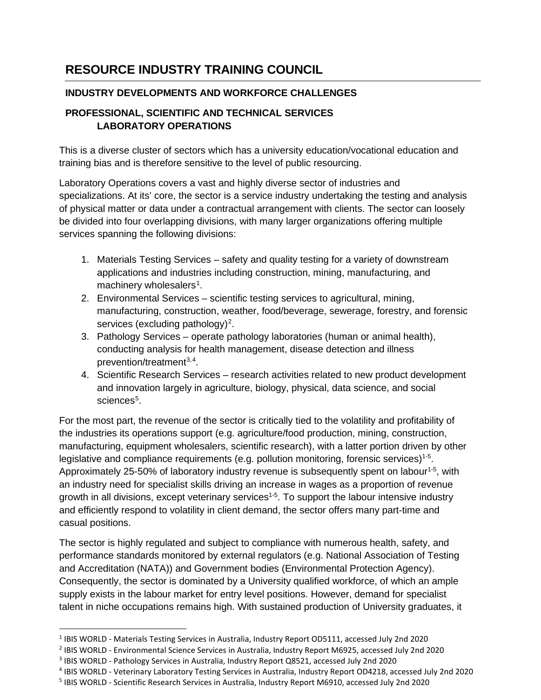## **RESOURCE INDUSTRY TRAINING COUNCIL**

## **INDUSTRY DEVELOPMENTS AND WORKFORCE CHALLENGES**

## **PROFESSIONAL, SCIENTIFIC AND TECHNICAL SERVICES LABORATORY OPERATIONS**

This is a diverse cluster of sectors which has a university education/vocational education and training bias and is therefore sensitive to the level of public resourcing.

Laboratory Operations covers a vast and highly diverse sector of industries and specializations. At its' core, the sector is a service industry undertaking the testing and analysis of physical matter or data under a contractual arrangement with clients. The sector can loosely be divided into four overlapping divisions, with many larger organizations offering multiple services spanning the following divisions:

- 1. Materials Testing Services safety and quality testing for a variety of downstream applications and industries including construction, mining, manufacturing, and machinery wholesalers<sup>[1](#page-0-0)</sup>.
- 2. Environmental Services scientific testing services to agricultural, mining, manufacturing, construction, weather, food/beverage, sewerage, forestry, and forensic services (excluding pathology)<sup>[2](#page-0-1)</sup>.
- 3. Pathology Services operate pathology laboratories (human or animal health), conducting analysis for health management, disease detection and illness prevention/treatment<sup>[3](#page-0-2),[4](#page-0-3)</sup>.
- 4. Scientific Research Services research activities related to new product development and innovation largely in agriculture, biology, physical, data science, and social sciences $^5$  $^5$ .

For the most part, the revenue of the sector is critically tied to the volatility and profitability of the industries its operations support (e.g. agriculture/food production, mining, construction, manufacturing, equipment wholesalers, scientific research), with a latter portion driven by other legislative and compliance requirements (e.g. pollution monitoring, forensic services)<sup>1-5</sup>. Approximately 25-50% of laboratory industry revenue is subsequently spent on labour<sup>1-5</sup>, with an industry need for specialist skills driving an increase in wages as a proportion of revenue growth in all divisions, except veterinary services<sup>1-5</sup>. To support the labour intensive industry and efficiently respond to volatility in client demand, the sector offers many part-time and casual positions.

The sector is highly regulated and subject to compliance with numerous health, safety, and performance standards monitored by external regulators (e.g. National Association of Testing and Accreditation (NATA)) and Government bodies (Environmental Protection Agency). Consequently, the sector is dominated by a University qualified workforce, of which an ample supply exists in the labour market for entry level positions. However, demand for specialist talent in niche occupations remains high. With sustained production of University graduates, it

<span id="page-0-0"></span><sup>1</sup> IBIS WORLD - Materials Testing Services in Australia, Industry Report OD5111, accessed July 2nd 2020

<span id="page-0-1"></span><sup>2</sup> IBIS WORLD - Environmental Science Services in Australia, Industry Report M6925, accessed July 2nd 2020

<span id="page-0-2"></span><sup>3</sup> IBIS WORLD - Pathology Services in Australia, Industry Report Q8521, accessed July 2nd 2020

<span id="page-0-3"></span><sup>4</sup> IBIS WORLD - Veterinary Laboratory Testing Services in Australia, Industry Report OD4218, accessed July 2nd 2020

<span id="page-0-4"></span><sup>5</sup> IBIS WORLD - Scientific Research Services in Australia, Industry Report M6910, accessed July 2nd 2020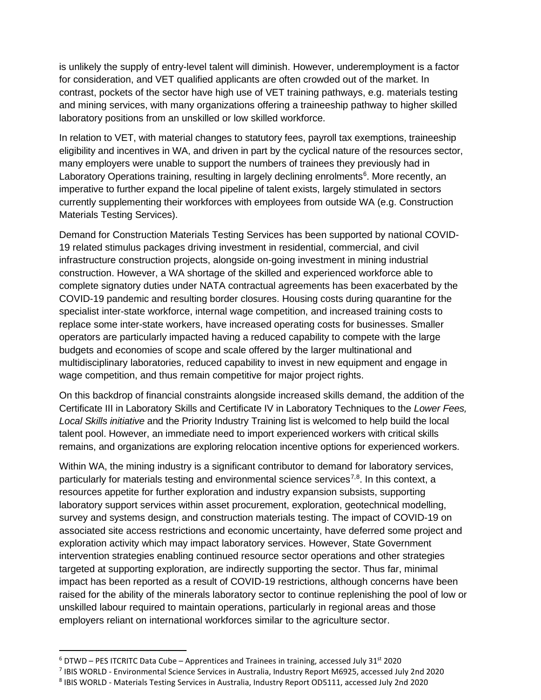is unlikely the supply of entry-level talent will diminish. However, underemployment is a factor for consideration, and VET qualified applicants are often crowded out of the market. In contrast, pockets of the sector have high use of VET training pathways, e.g. materials testing and mining services, with many organizations offering a traineeship pathway to higher skilled laboratory positions from an unskilled or low skilled workforce.

In relation to VET, with material changes to statutory fees, payroll tax exemptions, traineeship eligibility and incentives in WA, and driven in part by the cyclical nature of the resources sector, many employers were unable to support the numbers of trainees they previously had in Laboratory Operations training, resulting in largely declining enrolments<sup>[6](#page-1-0)</sup>. More recently, an imperative to further expand the local pipeline of talent exists, largely stimulated in sectors currently supplementing their workforces with employees from outside WA (e.g. Construction Materials Testing Services).

Demand for Construction Materials Testing Services has been supported by national COVID-19 related stimulus packages driving investment in residential, commercial, and civil infrastructure construction projects, alongside on-going investment in mining industrial construction. However, a WA shortage of the skilled and experienced workforce able to complete signatory duties under NATA contractual agreements has been exacerbated by the COVID-19 pandemic and resulting border closures. Housing costs during quarantine for the specialist inter-state workforce, internal wage competition, and increased training costs to replace some inter-state workers, have increased operating costs for businesses. Smaller operators are particularly impacted having a reduced capability to compete with the large budgets and economies of scope and scale offered by the larger multinational and multidisciplinary laboratories, reduced capability to invest in new equipment and engage in wage competition, and thus remain competitive for major project rights.

On this backdrop of financial constraints alongside increased skills demand, the addition of the Certificate III in Laboratory Skills and Certificate IV in Laboratory Techniques to the *Lower Fees, Local Skills initiative* and the Priority Industry Training list is welcomed to help build the local talent pool. However, an immediate need to import experienced workers with critical skills remains, and organizations are exploring relocation incentive options for experienced workers.

Within WA, the mining industry is a significant contributor to demand for laboratory services, particularly for materials testing and environmental science services<sup>[7,](#page-1-1)[8](#page-1-2)</sup>. In this context, a resources appetite for further exploration and industry expansion subsists, supporting laboratory support services within asset procurement, exploration, geotechnical modelling, survey and systems design, and construction materials testing. The impact of COVID-19 on associated site access restrictions and economic uncertainty, have deferred some project and exploration activity which may impact laboratory services. However, State Government intervention strategies enabling continued resource sector operations and other strategies targeted at supporting exploration, are indirectly supporting the sector. Thus far, minimal impact has been reported as a result of COVID-19 restrictions, although concerns have been raised for the ability of the minerals laboratory sector to continue replenishing the pool of low or unskilled labour required to maintain operations, particularly in regional areas and those employers reliant on international workforces similar to the agriculture sector.

<span id="page-1-0"></span> $6$  DTWD – PES ITCRITC Data Cube – Apprentices and Trainees in training, accessed July 31st 2020

<span id="page-1-1"></span><sup>7</sup> IBIS WORLD - Environmental Science Services in Australia, Industry Report M6925, accessed July 2nd 2020

<span id="page-1-2"></span><sup>8</sup> IBIS WORLD - Materials Testing Services in Australia, Industry Report OD5111, accessed July 2nd 2020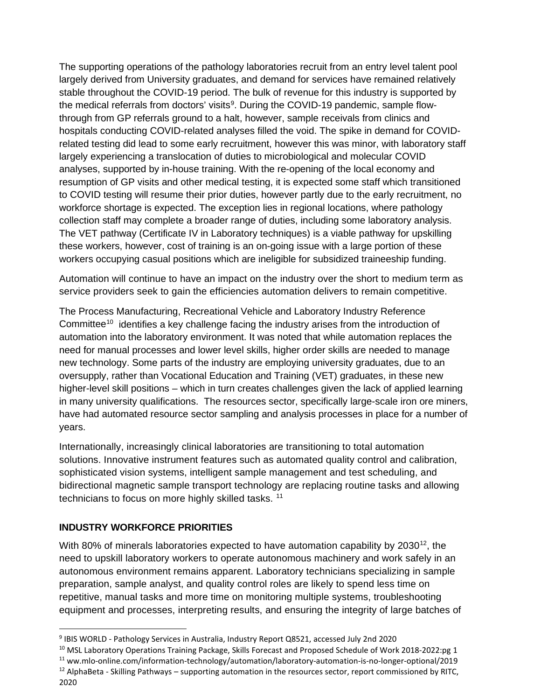The supporting operations of the pathology laboratories recruit from an entry level talent pool largely derived from University graduates, and demand for services have remained relatively stable throughout the COVID-19 period. The bulk of revenue for this industry is supported by the medical referrals from doctors' visits<sup>[9](#page-2-0)</sup>. During the COVID-19 pandemic, sample flowthrough from GP referrals ground to a halt, however, sample receivals from clinics and hospitals conducting COVID-related analyses filled the void. The spike in demand for COVIDrelated testing did lead to some early recruitment, however this was minor, with laboratory staff largely experiencing a translocation of duties to microbiological and molecular COVID analyses, supported by in-house training. With the re-opening of the local economy and resumption of GP visits and other medical testing, it is expected some staff which transitioned to COVID testing will resume their prior duties, however partly due to the early recruitment, no workforce shortage is expected. The exception lies in regional locations, where pathology collection staff may complete a broader range of duties, including some laboratory analysis. The VET pathway (Certificate IV in Laboratory techniques) is a viable pathway for upskilling these workers, however, cost of training is an on-going issue with a large portion of these workers occupying casual positions which are ineligible for subsidized traineeship funding.

Automation will continue to have an impact on the industry over the short to medium term as service providers seek to gain the efficiencies automation delivers to remain competitive.

The Process Manufacturing, Recreational Vehicle and Laboratory Industry Reference Committee<sup>[10](#page-2-1)</sup> identifies a key challenge facing the industry arises from the introduction of automation into the laboratory environment. It was noted that while automation replaces the need for manual processes and lower level skills, higher order skills are needed to manage new technology. Some parts of the industry are employing university graduates, due to an oversupply, rather than Vocational Education and Training (VET) graduates, in these new higher-level skill positions – which in turn creates challenges given the lack of applied learning in many university qualifications. The resources sector, specifically large-scale iron ore miners, have had automated resource sector sampling and analysis processes in place for a number of years.

Internationally, increasingly clinical laboratories are transitioning to total automation solutions. Innovative instrument features such as automated quality control and calibration, sophisticated vision systems, intelligent sample management and test scheduling, and bidirectional magnetic sample transport technology are replacing routine tasks and allowing technicians to focus on more highly skilled tasks.<sup>[11](#page-2-2)</sup>

## **INDUSTRY WORKFORCE PRIORITIES**

With 80% of minerals laboratories expected to have automation capability by 2030<sup>[12](#page-2-3)</sup>, the need to upskill laboratory workers to operate autonomous machinery and work safely in an autonomous environment remains apparent. Laboratory technicians specializing in sample preparation, sample analyst, and quality control roles are likely to spend less time on repetitive, manual tasks and more time on monitoring multiple systems, troubleshooting equipment and processes, interpreting results, and ensuring the integrity of large batches of

<span id="page-2-2"></span><sup>11</sup> ww.mlo-online.com/information-technology/automation/laboratory-automation-is-no-longer-optional/2019

<span id="page-2-0"></span><sup>9</sup> IBIS WORLD - Pathology Services in Australia, Industry Report Q8521, accessed July 2nd 2020

<span id="page-2-1"></span><sup>&</sup>lt;sup>10</sup> MSL Laboratory Operations Training Package, Skills Forecast and Proposed Schedule of Work 2018-2022:pg 1

<span id="page-2-3"></span><sup>&</sup>lt;sup>12</sup> AlphaBeta - Skilling Pathways – supporting automation in the resources sector, report commissioned by RITC, 2020